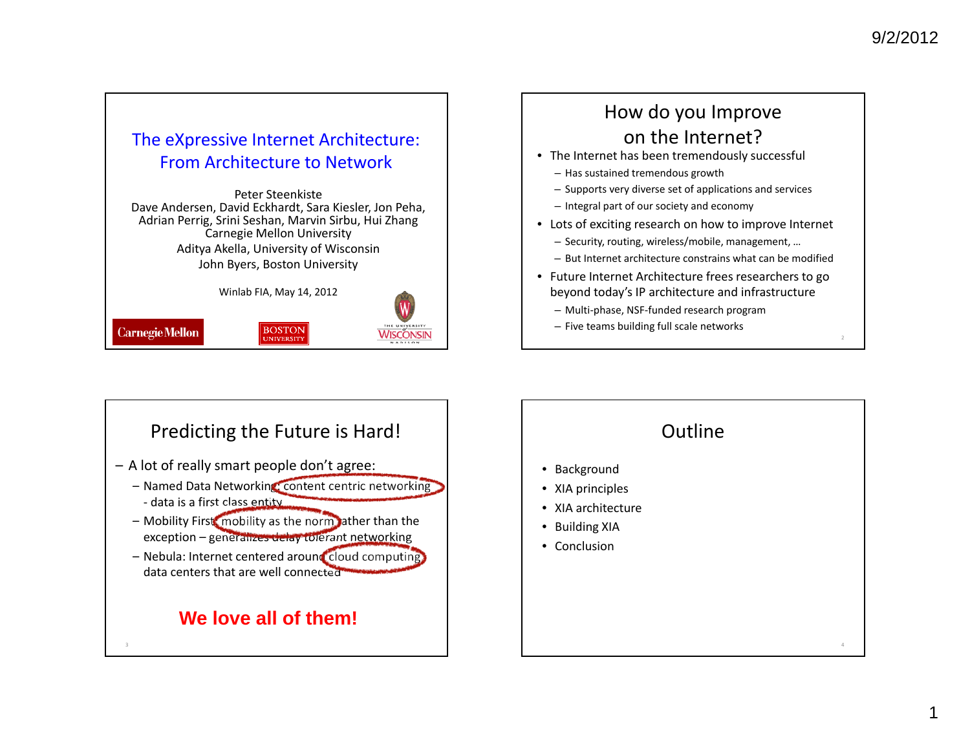#### The eXpressive Internet Architecture: From Architecture to Network

Peter Steenkiste Dave Andersen, David Eckhardt, Sara Kiesler, Jon Peha, Adrian Perrig, Srini Seshan, Marvin Sirbu, Hui Zhang Carnegie Mellon University Aditya Akella, University of Wisconsin John Byers, Boston University

Winlab FIA, May 14, 2012

**BOSTON** 



**Carnegie Mellon** 

## How do you Improve on the Internet?

- The Internet has been tremendously successful
	- Has sustained tremendous growth
	- Supports very diverse set of applications and services
	- Integral part of our society and economy
- Lots of exciting research on how to improve Internet
	- Security, routing, wireless/mobile, management, …
	- But Internet architecture constrains what can be modified
- Future Internet Architecture frees researchers to go beyond today's IP architecture and infrastructure
	- Multi‐phase, NSF‐funded research program
	- Five teams building full scale networks



## Outline• Background • XIA principles • XIA architecture • Building XIA • Conclusion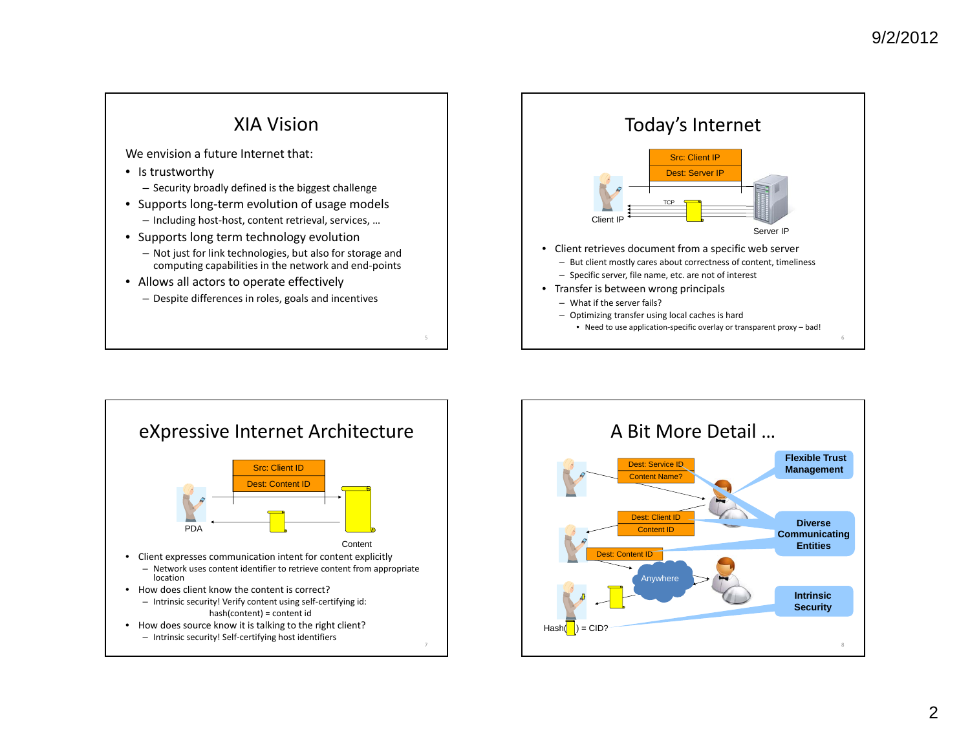



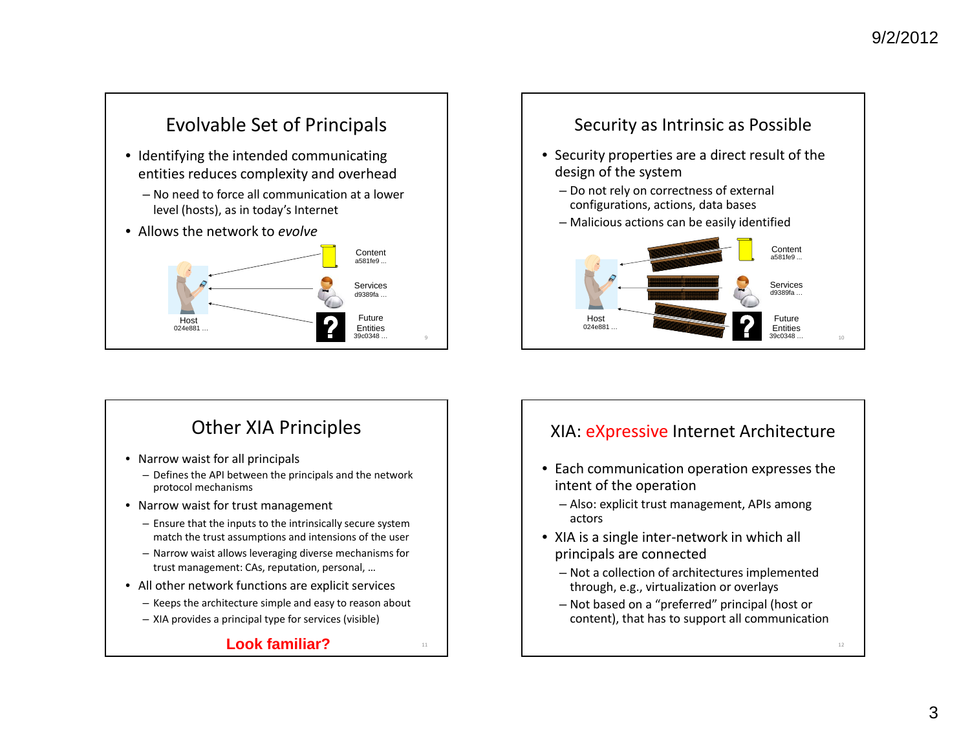## Evolvable Set of Principals

- Identifying the intended communicating entities reduces complexity and overhead
	- No need to force all communication at <sup>a</sup> lower level (hosts), as in today's Internet
- Allows the network to *evolve*



## Other XIA Principles

- Narrow waist for all principals
	- Defines the API between the principals and the network protocol mechanisms
- Narrow waist for trust management
	- Ensure that the inputs to the intrinsically secure system match the trust assumptions and intensions of the user
	- Narrow waist allows leveraging diverse mechanisms for trust management: CAs, reputation, personal, …
- All other network functions are explicit services
	- Keeps the architecture simple and easy to reason about
	- XIA provides <sup>a</sup> principal type for services (visible)

#### **Look familiar?** $\blacksquare$ 11





#### XIA: <u>eXpressive</u> Internet Architecture

- Each communication operation expresses the intent of the operation
	- Also: explicit trust management, APIs among actors
- XIA is <sup>a</sup> single inter‐network in which all principals are connected
	- Not <sup>a</sup> collection of architectures implemented through, e.g., virtualization or overlays
	- Not based on <sup>a</sup> "preferred" principal (host or content), that has to support all communication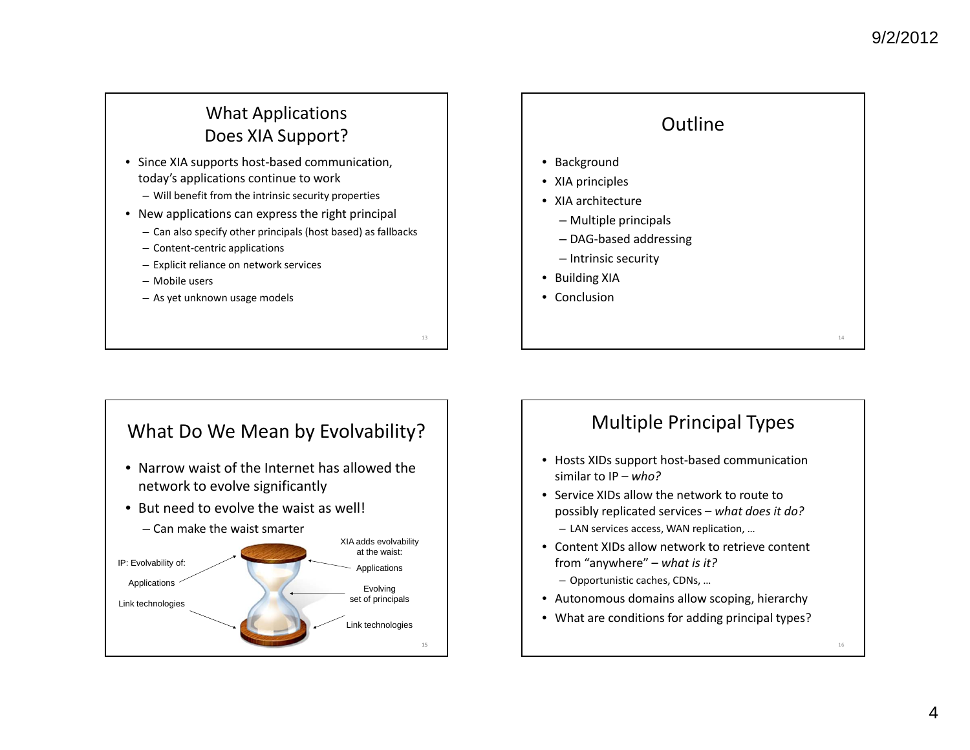#### What Applications Does XIA Support?

- Since XIA supports host‐based communication, today's applications continue to work
	- Will benefit from the intrinsic security properties
- New applications can express the right principal
	- Can also specify other principals (host based) as fallbacks
	- Content‐centric applications
	- Explicit reliance on network services
	- Mobile users
	- As yet unknown usage models

13

15

## **Outline** • Background • XIA principles • XIA architecture – Multiple principals – DAG‐based addressing – Intrinsic security • Building XIA • Conclusion14



### Multiple Principal Types

- Hosts XIDs support host‐based communication similar to IP – *who?*
- Service XIDs allow the network to route to possibly replicated services – *what does it do?* – LAN services access, WAN replication, …
- Content XIDs allow network to retrieve content from "anywhere" – *what is it?* – Opportunistic caches, CDNs, …
- Autonomous domains allow scoping, hierarchy
- What are conditions for adding principal types?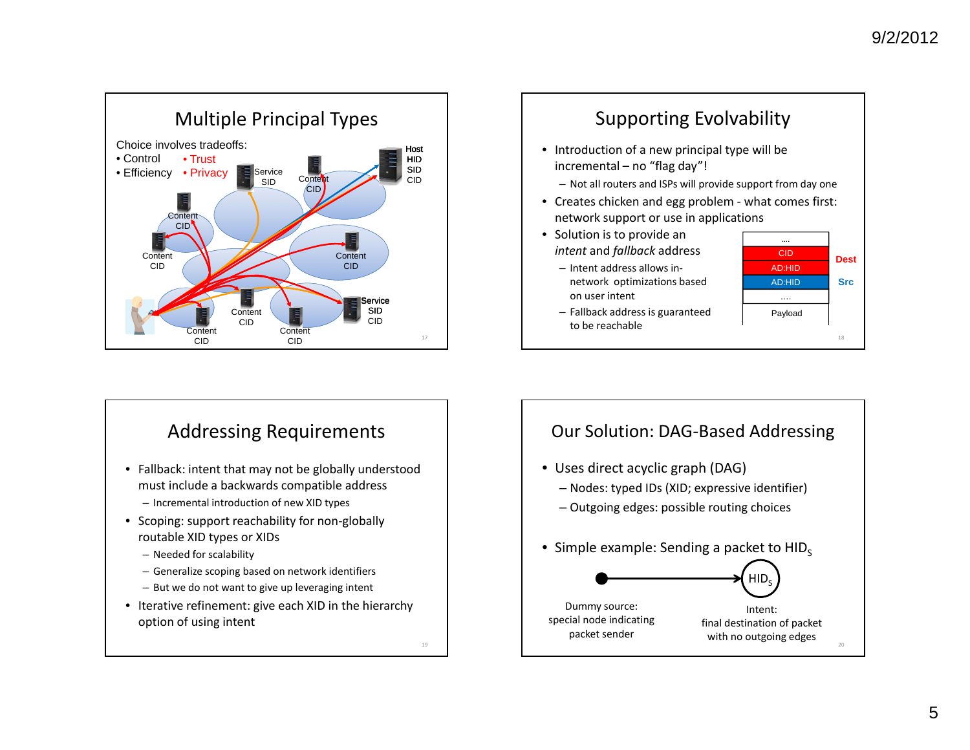

#### Supporting Evolvability • Introduction of <sup>a</sup> new principal type will be incremental – no "flag day"! – Not all routers and ISPs will provide support from day one • Creates chicken and egg problem ‐ what comes first: network support or use in applications AD:HID18• Solution is to provide an *intent* and *fallback* address – Intent address allows in‐ network optimizations based on user intent – Fallback address is guaranteed to be reachable CIDAD:HID…. Payload **DestSrc**



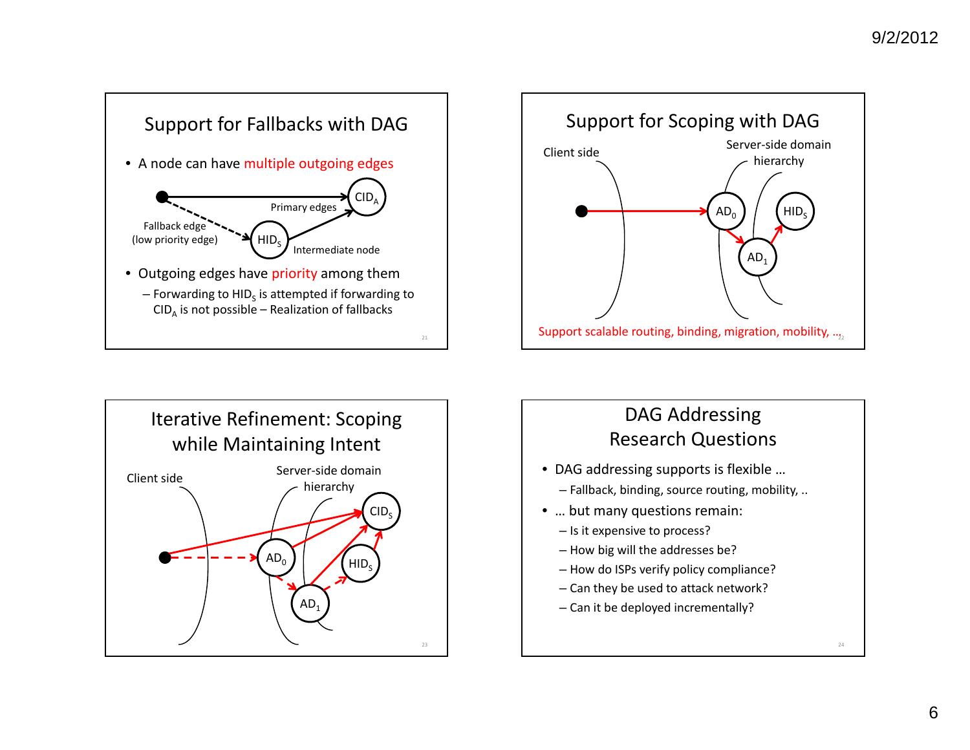





# DAG Addressing Research Questions

- DAG addressing supports is flexible …
	- Fallback, binding, source routing, mobility, ..
- … but many questions remain:
	- Is it expensive to process?
	- How big will the addresses be?
	- How do ISPs verify policy compliance?
	- Can they be used to attack network?
	- Can it be deployed incrementally?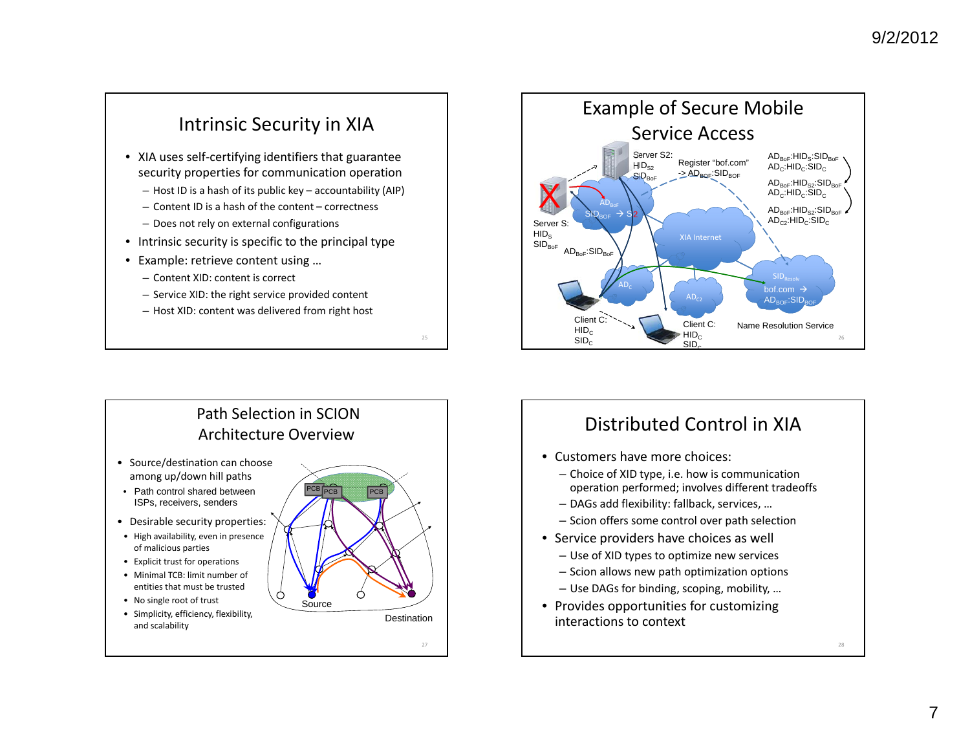### Intrinsic Security in XIA

- XIA uses self‐certifying identifiers that guarantee security properties for communication operation
	- Host ID is <sup>a</sup> hash of its public key accountability (AIP)
	- Content ID is <sup>a</sup> hash of the content correctness
	- Does not rely on external configurations
- Intrinsic security is specific to the principal type
- Example: retrieve content using …
	- Content XID: content is correct
	- Service XID: the right service provided content
	- Host XID: content was delivered from right host

Path Selection in SCIONArchitecture Overview

- Source/destination can choose among up/down hill paths
- Path control shared between ISPs, receivers, senders
- Desirable security properties:
- High availability, even in presence of malicious parties
- Explicit trust for operations
- Minimal TCB: limit number of entities that must be trusted
- No single root of trust
- Simplicity, efficiency, flexibility, and scalability



25

27



## Distributed Control in XIA

- Customers have more choices:
	- Choice of XID type, i.e. how is communication operation performed; involves different tradeoffs
	- DAGs add flexibility: fallback, services, …
	- Scion offers some control over path selection
- Service providers have choices as well
	- Use of XID types to optimize new services
	- Scion allows new path optimization options
	- Use DAGs for binding, scoping, mobility, …
- Provides opportunities for customizing interactions to context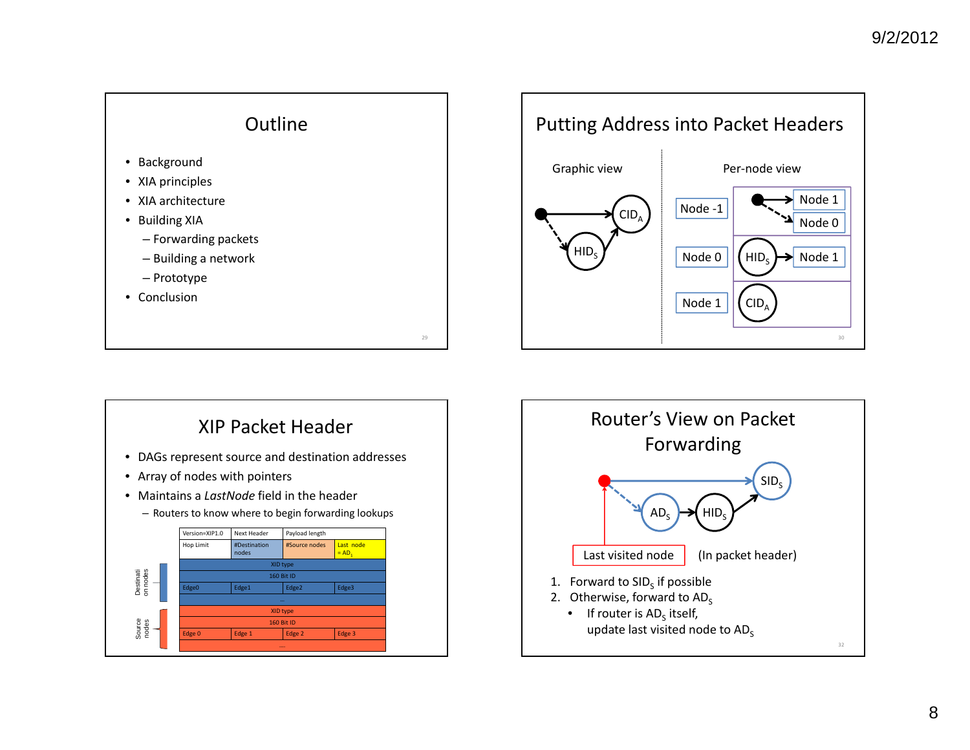



## XIP Packet Header

- DAGs represent source and destination addresses
- Array of nodes with pointers
- Maintains a *LastNode* field in the header





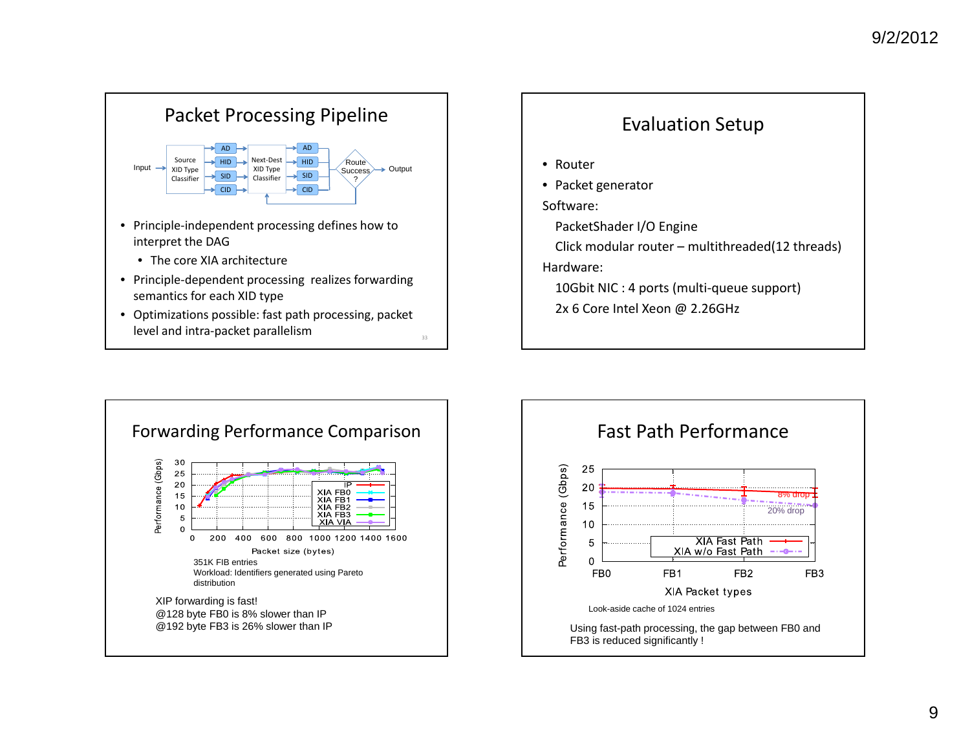